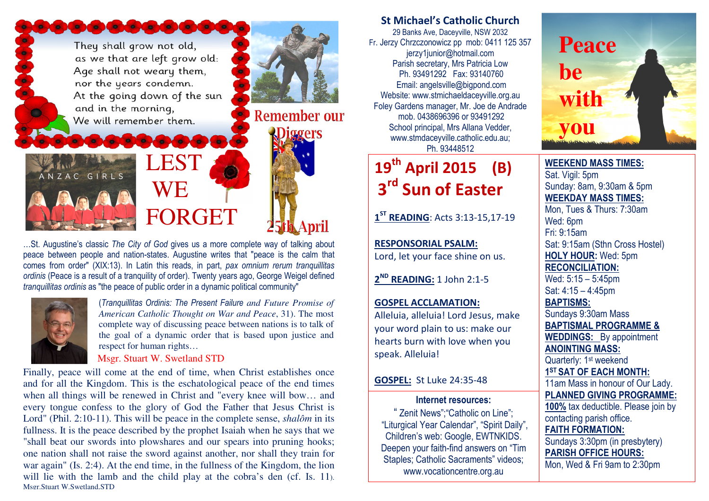They shall grow not old, as we that are left grow old: Age shall not weary them, nor the years condemn. At the going down of the sun and in the morning, We will remember them.

**De colonial de colonia** 

**WE** FORGET

**LEST** 

…St. Augustine's classic The City of God gives us a more complete way of talking about peace between people and nation-states. Augustine writes that "peace is the calm that comes from order" (XIX:13). In Latin this reads, in part, pax omnium rerum tranquillitas ordinis (Peace is a result of a tranquility of order). Twenty years ago, George Weigel defined tranquillitas ordinis as "the peace of public order in a dynamic political community"



ANZAC GIRLS

(Tranquillitas Ordinis: The Present Failure *and Future Promise of American Catholic Thought on War and Peace*, 31). The most complete way of discussing peace between nations is to talk of the goal of a dynamic order that is based upon justice and respect for human rights…

**Remember our** 

**1ggers** 

#### Msgr. Stuart W. Swetland STD

Finally, peace will come at the end of time, when Christ establishes once and for all the Kingdom. This is the eschatological peace of the end times when all things will be renewed in Christ and "every knee will bow… and every tongue confess to the glory of God the Father that Jesus Christ is Lord" (Phil. 2:10-11). This will be peace in the complete sense, *shalôm* in its fullness. It is the peace described by the prophet Isaiah when he says that we "shall beat our swords into plowshares and our spears into pruning hooks; one nation shall not raise the sword against another, nor shall they train for war again" (Is. 2:4). At the end time, in the fullness of the Kingdom, the lion will lie with the lamb and the child play at the cobra's den (cf. Is. 11). Msgr.Stuart W.Swetland,STD

# St Michael's Catholic Church

29 Banks Ave, Daceyville, NSW 2032 Fr. Jerzy Chrzczonowicz pp mob: 0411 125 357 jerzy1junior@hotmail.com Parish secretary, Mrs Patricia Low Ph. 93491292 Fax: 93140760 Email: angelsville@bigpond.com Website: www.stmichaeldaceyville.org.au Foley Gardens manager, Mr. Joe de Andrade mob. 0438696396 or 93491292 School principal, Mrs Allana Vedder, www.stmdaceyville.catholic.edu.au; Ph. 93448512

# 19<sup>th</sup> April 2015 (B) 3<sup>rd</sup> Sun of Easter

1<sup>ST</sup> READING: Acts 3:13-15,17-19

RESPONSORIAL PSALM: Lord, let your face shine on us.

2<sup>ND</sup> READING: 1 John 2:1-5

## GOSPEL ACCLAMATION:

Alleluia, alleluia! Lord Jesus, make your word plain to us: make our hearts burn with love when you speak. Alleluia!

### GOSPEL: St Luke 24:35-48

### Internet resources:

" Zenit News";"Catholic on Line"; "Liturgical Year Calendar", "Spirit Daily", Children's web: Google, EWTNKIDS. Deepen your faith-find answers on "Tim Staples; Catholic Sacraments" videos; www.vocationcentre.org.au



WEEKEND MASS TIMES:Sat. Vigil: 5pm Sunday: 8am, 9:30am & 5pm WEEKDAY MASS TIMES: Mon, Tues & Thurs: 7:30am Wed: 6pm Fri: 9:15am Sat: 9:15am (Sthn Cross Hostel) HOLY HOUR: Wed: 5pm RECONCILIATION: Wed: 5:15 – 5:45pm Sat: 4:15 – 4:45pm BAPTISMS: Sundays 9:30am Mass BAPTISMAL PROGRAMME & WEDDINGS: By appointment ANOINTING MASS: Quarterly: 1<sup>st</sup> weekend 1<sup>ST</sup> SAT OF EACH MONTH: 11am Mass in honour of Our Lady. PLANNED GIVING PROGRAMME: 100% tax deductible. Please join by contacting parish office. FAITH FORMATION: Sundays 3:30pm (in presbytery)

PARISH OFFICE HOURS: Mon, Wed & Fri 9am to 2:30pm